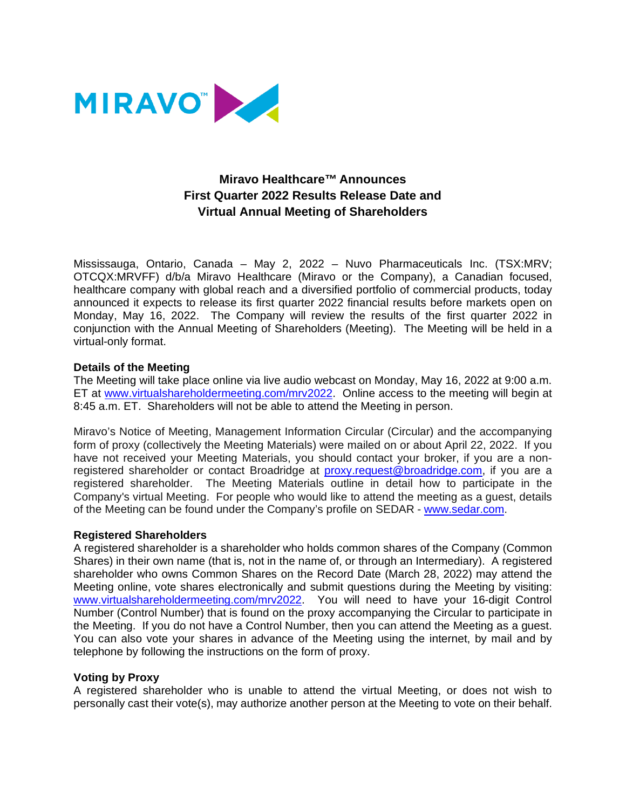

# **Miravo Healthcare™ Announces First Quarter 2022 Results Release Date and Virtual Annual Meeting of Shareholders**

Mississauga, Ontario, Canada – May 2, 2022 – Nuvo Pharmaceuticals Inc. (TSX:MRV; OTCQX:MRVFF) d/b/a Miravo Healthcare (Miravo or the Company), a Canadian focused, healthcare company with global reach and a diversified portfolio of commercial products, today announced it expects to release its first quarter 2022 financial results before markets open on Monday, May 16, 2022. The Company will review the results of the first quarter 2022 in conjunction with the Annual Meeting of Shareholders (Meeting). The Meeting will be held in a virtual-only format.

## **Details of the Meeting**

The Meeting will take place online via live audio webcast on Monday, May 16, 2022 at 9:00 a.m. ET at [www.virtualshareholdermeeting.com/mrv2022](http://www.virtualshareholdermeeting.com/mrv2022). Online access to the meeting will begin at 8:45 a.m. ET. Shareholders will not be able to attend the Meeting in person.

Miravo's Notice of Meeting, Management Information Circular (Circular) and the accompanying form of proxy (collectively the Meeting Materials) were mailed on or about April 22, 2022. If you have not received your Meeting Materials, you should contact your broker, if you are a nonregistered shareholder or contact Broadridge at [proxy.request@broadridge.com,](mailto:proxy.request@broadridge.com,) if you are a registered shareholder. The Meeting Materials outline in detail how to participate in the Company's virtual Meeting. For people who would like to attend the meeting as a guest, details of the Meeting can be found under the Company's profile on SEDAR - [www.sedar.com.](https://www.sedar.com/)

#### **Registered Shareholders**

A registered shareholder is a shareholder who holds common shares of the Company (Common Shares) in their own name (that is, not in the name of, or through an Intermediary). A registered shareholder who owns Common Shares on the Record Date (March 28, 2022) may attend the Meeting online, vote shares electronically and submit questions during the Meeting by visiting: [www.virtualshareholdermeeting.com/mrv2022](http://www.virtualshareholdermeeting.com/mrv2022). You will need to have your 16-digit Control Number (Control Number) that is found on the proxy accompanying the Circular to participate in the Meeting. If you do not have a Control Number, then you can attend the Meeting as a guest. You can also vote your shares in advance of the Meeting using the internet, by mail and by telephone by following the instructions on the form of proxy.

#### **Voting by Proxy**

A registered shareholder who is unable to attend the virtual Meeting, or does not wish to personally cast their vote(s), may authorize another person at the Meeting to vote on their behalf.